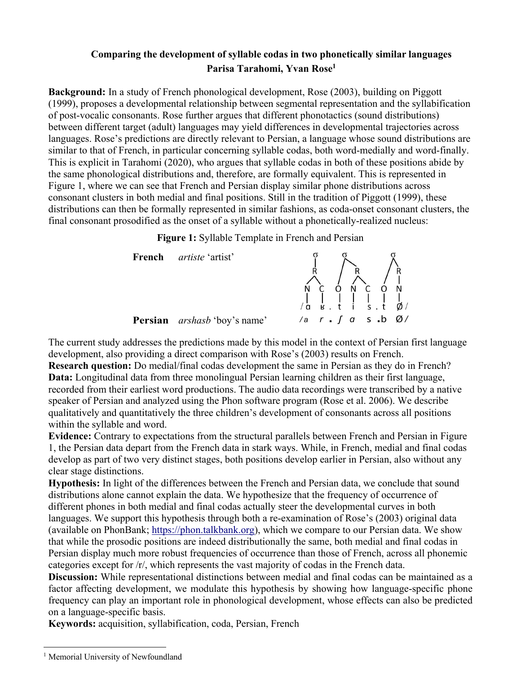## **Comparing the development of syllable codas in two phonetically similar languages Parisa Tarahomi, Yvan Rose1**

**Background:** In a study of French phonological development, Rose (2003), building on Piggott (1999), proposes a developmental relationship between segmental representation and the syllabification of post-vocalic consonants. Rose further argues that different phonotactics (sound distributions) between different target (adult) languages may yield differences in developmental trajectories across languages. Rose's predictions are directly relevant to Persian, a language whose sound distributions are similar to that of French, in particular concerning syllable codas, both word-medially and word-finally. This is explicit in Tarahomi (2020), who argues that syllable codas in both of these positions abide by the same phonological distributions and, therefore, are formally equivalent. This is represented in Figure 1, where we can see that French and Persian display similar phone distributions across consonant clusters in both medial and final positions. Still in the tradition of Piggott (1999), these distributions can then be formally represented in similar fashions, as coda-onset consonant clusters, the final consonant prosodified as the onset of a syllable without a phonetically-realized nucleus:

**Figure 1:** Syllable Template in French and Persian



The current study addresses the predictions made by this model in the context of Persian first language development, also providing a direct comparison with Rose's (2003) results on French.

**Research question:** Do medial/final codas development the same in Persian as they do in French? **Data:** Longitudinal data from three monolingual Persian learning children as their first language, recorded from their earliest word productions. The audio data recordings were transcribed by a native speaker of Persian and analyzed using the Phon software program (Rose et al. 2006). We describe qualitatively and quantitatively the three children's development of consonants across all positions within the syllable and word.

**Evidence:** Contrary to expectations from the structural parallels between French and Persian in Figure 1, the Persian data depart from the French data in stark ways. While, in French, medial and final codas develop as part of two very distinct stages, both positions develop earlier in Persian, also without any clear stage distinctions.

**Hypothesis:** In light of the differences between the French and Persian data, we conclude that sound distributions alone cannot explain the data. We hypothesize that the frequency of occurrence of different phones in both medial and final codas actually steer the developmental curves in both languages. We support this hypothesis through both a re-examination of Rose's (2003) original data (available on PhonBank; https://phon.talkbank.org), which we compare to our Persian data. We show that while the prosodic positions are indeed distributionally the same, both medial and final codas in Persian display much more robust frequencies of occurrence than those of French, across all phonemic categories except for /r/, which represents the vast majority of codas in the French data.

**Discussion:** While representational distinctions between medial and final codas can be maintained as a factor affecting development, we modulate this hypothesis by showing how language-specific phone frequency can play an important role in phonological development, whose effects can also be predicted on a language-specific basis.

**Keywords:** acquisition, syllabification, coda, Persian, French

<sup>&</sup>lt;sup>1</sup> Memorial University of Newfoundland